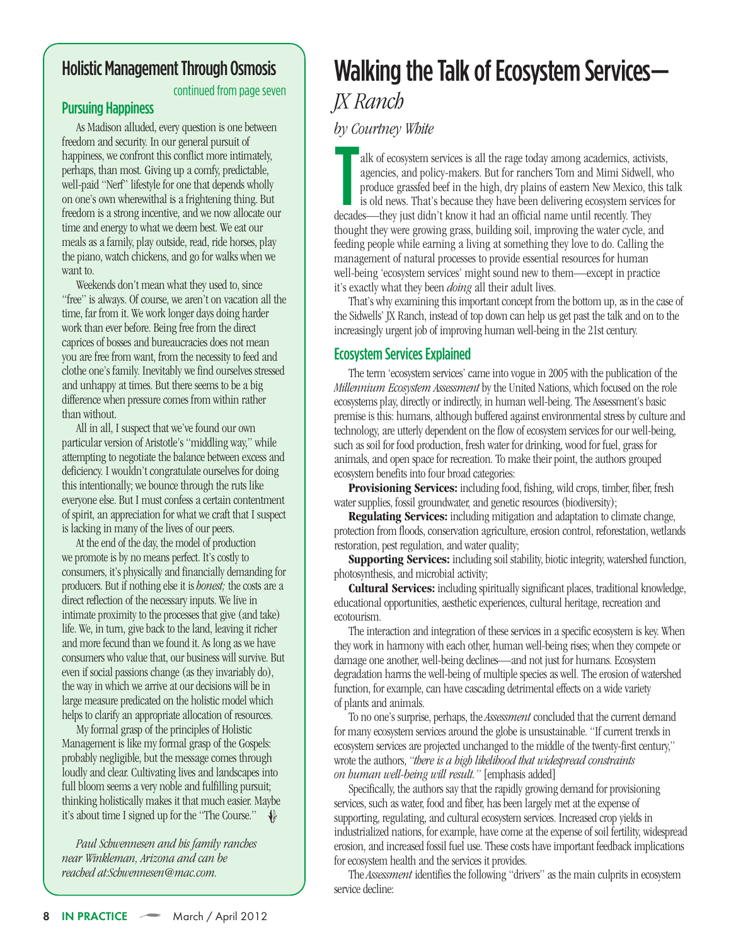# Walking the Talk of Ecosystem Services— *JX Ranch*

*by Courtney White*<br>
alk of ecosystem s<br>
agencies, and pol<br>
produce grassfed<br>
is old news. That' alk of ecosystem services is all the rage today among academics, activists, agencies, and policy-makers. But for ranchers Tom and Mimi Sidwell, who produce grassfed beef in the high, dry plains of eastern New Mexico, this talk is old news. That's because they have been delivering ecosystem services for decades—they just didn't know it had an official name until recently. They thought they were growing grass, building soil, improving the water cycle, and feeding people while earning a living at something they love to do. Calling the management of natural processes to provide essential resources for human well-being 'ecosystem services' might sound new to them—except in practice it's exactly what they been *doing* all their adult lives.

That's why examining this important concept from the bottom up, as in the case of the Sidwells' JX Ranch, instead of top down can help us get past the talk and on to the increasingly urgent job of improving human well-being in the 21st century.

# **Ecosystem Services Explained**

The term 'ecosystem services' came into vogue in 2005 with the publication of the *Millennium Ecosystem Assessment* by the United Nations, which focused on the role ecosystems play, directly or indirectly, in human well-being. The Assessment's basic premise is this: humans, although buffered against environmental stress by culture and technology, are utterly dependent on the flow of ecosystem services for our well-being, such as soil for food production, fresh water for drinking, wood for fuel, grass for animals, and open space for recreation. To make their point, the authors grouped ecosystem benefits into four broad categories:

**Provisioning Services:** including food, fishing, wild crops, timber, fiber, fresh water supplies, fossil groundwater, and genetic resources (biodiversity);

**Regulating Services:** including mitigation and adaptation to climate change, protection from floods, conservation agriculture, erosion control, reforestation, wetlands restoration, pest regulation, and water quality;

**Supporting Services:** including soil stability, biotic integrity, watershed function, photosynthesis, and microbial activity;

**Cultural Services:** including spiritually significant places, traditional knowledge, educational opportunities, aesthetic experiences, cultural heritage, recreation and ecotourism.

The interaction and integration of these services in a specific ecosystem is key. When they work in harmony with each other, human well-being rises; when they compete or damage one another, well-being declines—and not just for humans. Ecosystem degradation harms the well-being of multiple species as well. The erosion of watershed function, for example, can have cascading detrimental effects on a wide variety of plants and animals.

To no one's surprise, perhaps, the *Assessment* concluded that the current demand for many ecosystem services around the globe is unsustainable. "If current trends in ecosystem services are projected unchanged to the middle of the twenty-first century," wrote theauthors,*"there is a high likelihood that widespread constraints on human well-being will result."* [emphasisadded]

Specifically, the authors say that the rapidly growing demand for provisioning services, such as water, food and fiber, has been largely met at the expense of supporting, regulating, and cultural ecosystem services. Increased crop yields in industrialized nations, for example, have come at the expense of soil fertility, widespread erosion, and increased fossil fuel use. These costs have important feedback implications for ecosystem health and the services it provides.

The *Assessment* identifies the following "drivers" as the main culprits in ecosystem service decline: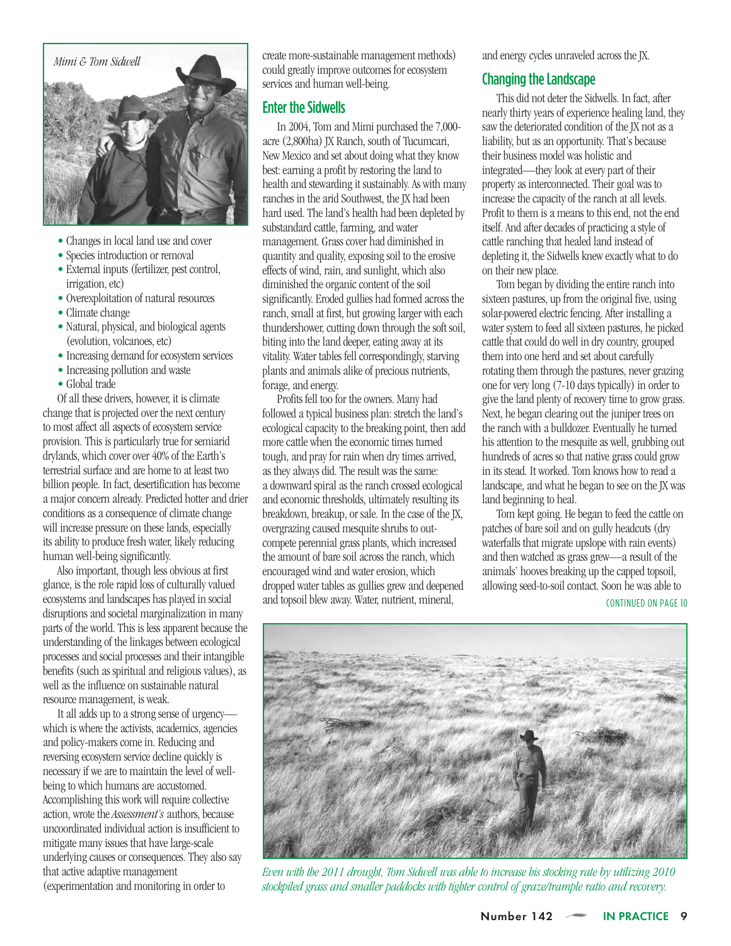

- Changes in local land use and cover
- Species introduction or removal
- $\bullet$  External inputs (fertilizer, pest control, irrigation, etc)
- Overexploitation of natural resources
- Climate change
- Natural, physical, and biological agents (evolution, volcanoes, etc)
- Increasing demand for ecosystem services
- Increasing pollution and waste
- Global trade

Ofall thesedrivers, however, it is climate change that is projected over the next century to most affect all aspects of ecosystem service provision. This is particularly true for semiarid drylands, which cover over  $40\%$  of the Earth's terrestrial surface and are home to at least two billion people. In fact, desertification has become a major concern already. Predicted hotter and drier conditions as a consequence of climate change will increase pressure on these lands, especially its ability to produce fresh water, likely reducing human well-being significantly.

Also important, though less obvious at first glance, is the role rapid loss of culturally valued ecosystems and landscapes has played in social disruptions and societal marginalization in many parts of the world. This is less apparent because the understanding of the linkages between ecological processes and social processes and their intangible benefits (such as spiritual and religious values), as well as the influence on sustainable natural resource management, is weak.

It all adds up to a strong sense of urgency which is where the activists, academics, agencies and policy-makers come in. Reducing and reversing ecosystem service decline quickly is necessary if we are to maintain the level of wellbeing to which humans are accustomed. Accomplishing this work will require collective action, wrote the *Assessment's* authors, because uncoordinated individual action is insufficient to mitigate many issues that have large-scale underlying causes or consequences. They also say that active adaptive management (experimentation and monitoring in order to

create more-sustainable management methods) could greatly improve outcomes for ecosystem services and human well-being.

### **Enter the Sidwells**

In 2004, Tom and Mimi purchased the 7,000acre (2,800ha) JX Ranch, south of Tucumcari, New Mexico and set about doing what they know best: earning a profit by restoring the land to health and stewarding it sustainably. As with many ranches in the arid Southwest, the IX had been hard used. The land's health had been depleted by substandard cattle, farming, and water management. Grass cover had diminished in quantity and quality, exposing soil to the erosive effects of wind, rain, and sunlight, which also diminished the organic content of the soil significantly. Eroded gullies had formed across the ranch, small at first, but growing larger with each thundershower, cutting down through the soft soil, biting into the land deeper, eating away at its vitality. Water tables fell correspondingly, starving plants and animals alike of precious nutrients, forage, and energy.

Profits fell too for the owners. Many had followed a typical business plan: stretch the land's ecological capacity to the breaking point, then add more cattle when the economic times turned tough, and pray for rain when dry times arrived, as they always did. The result was the same: a downward spiral as the ranch crossed ecological and economic thresholds, ultimately resulting its breakdown, breakup, or sale. In the case of the JX, overgrazing caused mesquite shrubs to outcompete perennial grass plants, which increased the amount of hare soil across the ranch, which encouraged wind and water erosion, which dropped water tables as gullies grew and deepened and topsoil blew away. Water, nutrient, mineral,

and energy cycles unraveled across the JX.

### Changing the Landscape

This did not deter the Sidwells. In fact, after nearly thirty years of experience healing land, they saw the deteriorated condition of the JX not as a liability, but as an opportunity. That's because their business model was holistic and integrated—they look at every part of their property as interconnected. Their goal was to increase the capacity of the ranch at all levels. Profit to them is a means to this end, not the end itself. And after decades of practicing a style of cattle ranching that healed land instead of depleting it, the Sidwells knew exactly what to do on their new place.

Tom began by dividing the entire ranch into sixteen pastures, up from the original five, using solar-powered electric fencing. After installing a water system to feed all sixteen pastures, he picked cattle that could do well in dry country, grouped them into one herd and set about carefully rotating them through the pastures, never grazing one for very long(7-10days typically) in order to give the land plenty of recovery time to grow grass. Next, he began clearing out the juniper trees on the ranch with abulldozer. Eventually he turned his attention to the mesquite as well, grubbing out hundreds of acres so that native grass could grow in its stead. It worked. Tom knows how to read a landscape, and what he began to see on the JX was land beginning to heal.

Tom kept going. He began to feed the cattle on patches of bare soil and on gully headcuts (dry waterfalls that migrate upslope with rain events) and then watched as grass grew—a result of the and then *homes* in *g* and *g* allowing seed-to-soil contact. Soon he was able to CONTINUED ON PAGE 10



*Even with the 2011 drought, Tom Sidwell was able to increase his stocking rate by utilizing 2010 stockpiled grass and smaller paddocks with tighter control of graze/trample ratio and recovery.*